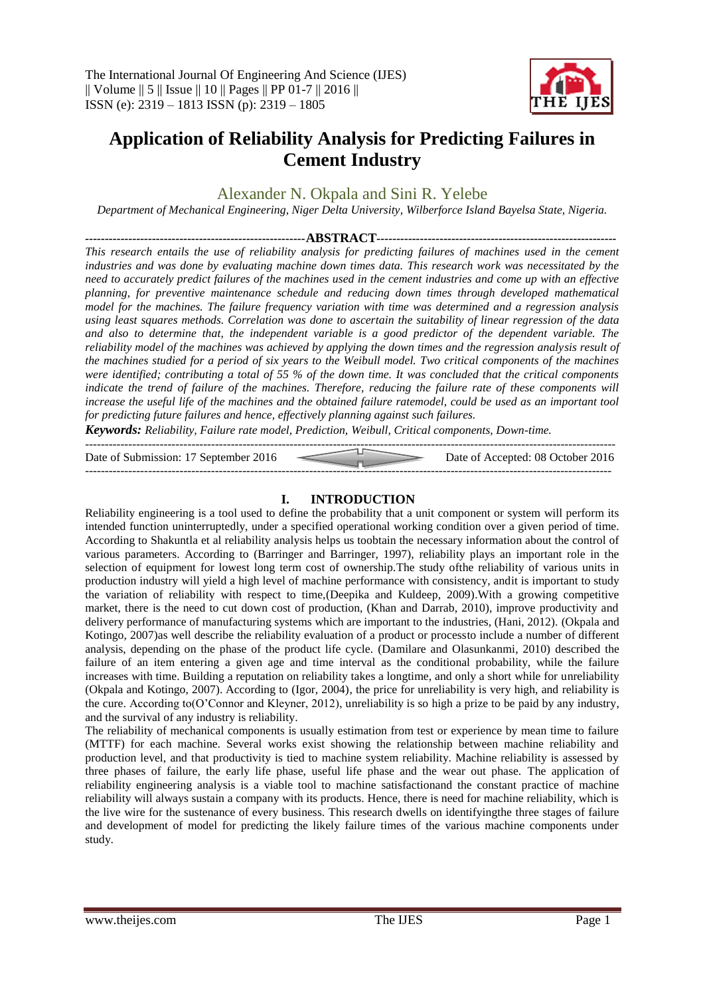

# **Application of Reliability Analysis for Predicting Failures in Cement Industry**

Alexander N. Okpala and Sini R. Yelebe

*Department of Mechanical Engineering, Niger Delta University, Wilberforce Island Bayelsa State, Nigeria.*

*--------------------------------------------------------***ABSTRACT***------------------------------------------------------------- This research entails the use of reliability analysis for predicting failures of machines used in the cement industries and was done by evaluating machine down times data. This research work was necessitated by the need to accurately predict failures of the machines used in the cement industries and come up with an effective planning, for preventive maintenance schedule and reducing down times through developed mathematical model for the machines. The failure frequency variation with time was determined and a regression analysis using least squares methods. Correlation was done to ascertain the suitability of linear regression of the data and also to determine that, the independent variable is a good predictor of the dependent variable. The reliability model of the machines was achieved by applying the down times and the regression analysis result of the machines studied for a period of six years to the Weibull model. Two critical components of the machines were identified; contributing a total of 55 % of the down time. It was concluded that the critical components indicate the trend of failure of the machines. Therefore, reducing the failure rate of these components will increase the useful life of the machines and the obtained failure ratemodel, could be used as an important tool for predicting future failures and hence, effectively planning against such failures.*

*Keywords: Reliability, Failure rate model, Prediction, Weibull, Critical components, Down-time.*

--------------------------------------------------------------------------------------------------------------------------------------- Date of Submission: 17 September 2016 Date of Accepted: 08 October 2016 --------------------------------------------------------------------------------------------------------------------------------------

# **I. INTRODUCTION**

Reliability engineering is a tool used to define the probability that a unit component or system will perform its intended function uninterruptedly, under a specified operational working condition over a given period of time. According to Shakuntla et al reliability analysis helps us toobtain the necessary information about the control of various parameters. According to (Barringer and Barringer, 1997), reliability plays an important role in the selection of equipment for lowest long term cost of ownership.The study ofthe reliability of various units in production industry will yield a high level of machine performance with consistency, andit is important to study the variation of reliability with respect to time,(Deepika and Kuldeep, 2009).With a growing competitive market, there is the need to cut down cost of production, (Khan and Darrab, 2010), improve productivity and delivery performance of manufacturing systems which are important to the industries, (Hani, 2012). (Okpala and Kotingo, 2007)as well describe the reliability evaluation of a product or processto include a number of different analysis, depending on the phase of the product life cycle. (Damilare and Olasunkanmi, 2010) described the failure of an item entering a given age and time interval as the conditional probability, while the failure increases with time. Building a reputation on reliability takes a longtime, and only a short while for unreliability (Okpala and Kotingo, 2007). According to (Igor, 2004), the price for unreliability is very high, and reliability is the cure. According to(O'Connor and Kleyner, 2012), unreliability is so high a prize to be paid by any industry, and the survival of any industry is reliability.

The reliability of mechanical components is usually estimation from test or experience by mean time to failure (MTTF) for each machine. Several works exist showing the relationship between machine reliability and production level, and that productivity is tied to machine system reliability. Machine reliability is assessed by three phases of failure, the early life phase, useful life phase and the wear out phase. The application of reliability engineering analysis is a viable tool to machine satisfactionand the constant practice of machine reliability will always sustain a company with its products. Hence, there is need for machine reliability, which is the live wire for the sustenance of every business. This research dwells on identifyingthe three stages of failure and development of model for predicting the likely failure times of the various machine components under study.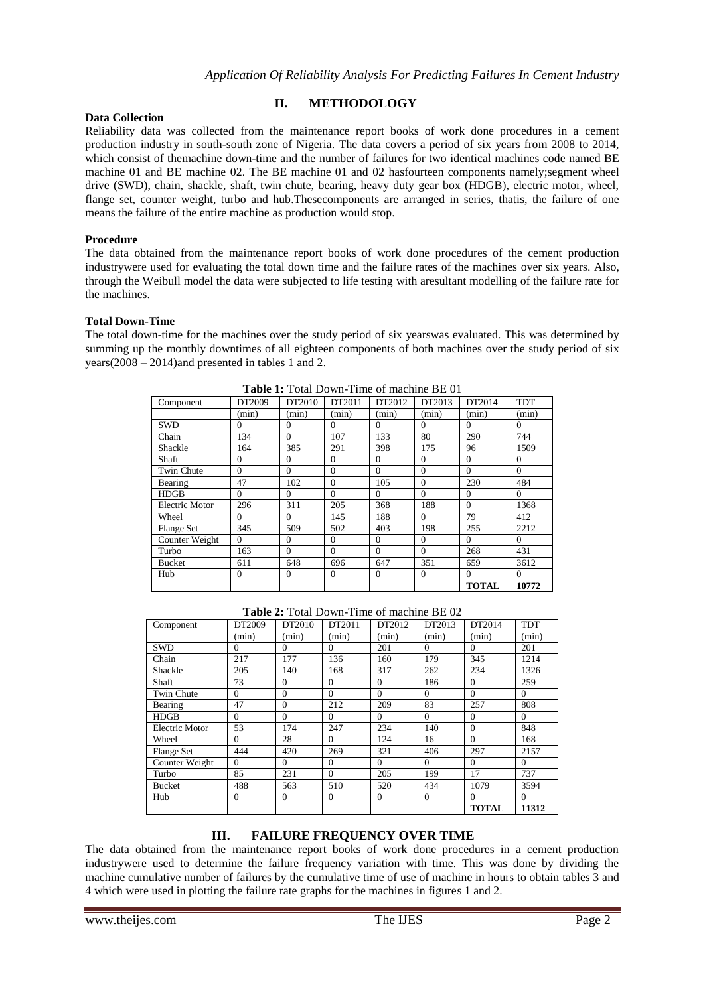## **Data Collection**

## **II. METHODOLOGY**

Reliability data was collected from the maintenance report books of work done procedures in a cement production industry in south-south zone of Nigeria. The data covers a period of six years from 2008 to 2014, which consist of themachine down-time and the number of failures for two identical machines code named BE machine 01 and BE machine 02. The BE machine 01 and 02 hasfourteen components namely; segment wheel drive (SWD), chain, shackle, shaft, twin chute, bearing, heavy duty gear box (HDGB), electric motor, wheel, flange set, counter weight, turbo and hub.Thesecomponents are arranged in series, thatis, the failure of one means the failure of the entire machine as production would stop.

#### **Procedure**

The data obtained from the maintenance report books of work done procedures of the cement production industrywere used for evaluating the total down time and the failure rates of the machines over six years. Also, through the Weibull model the data were subjected to life testing with aresultant modelling of the failure rate for the machines.

#### **Total Down-Time**

The total down-time for the machines over the study period of six yearswas evaluated. This was determined by summing up the monthly downtimes of all eighteen components of both machines over the study period of six years(2008 – 2014)and presented in tables 1 and 2.

| <b>Table 1:</b> Total Down-Thile of machine BE 01 |          |          |          |              |                |              |            |  |
|---------------------------------------------------|----------|----------|----------|--------------|----------------|--------------|------------|--|
| Component                                         | DT2009   | DT2010   | DT2011   | DT2012       | DT2013         | DT2014       | <b>TDT</b> |  |
|                                                   | (min)    | (min)    | (min)    | (min)        | (min)          | (min)        | (min)      |  |
| <b>SWD</b>                                        | $\theta$ | $\Omega$ | $\theta$ | $\Omega$     | $\Omega$       | $\Omega$     | $\Omega$   |  |
| Chain                                             | 134      | $\Omega$ | 107      | 133          | 80             | 290          | 744        |  |
| Shackle                                           | 164      | 385      | 291      | 398          | 175            | 96           | 1509       |  |
| Shaft                                             | $\Omega$ | $\Omega$ | $\Omega$ | $\Omega$     | $\Omega$       | $\Omega$     | $\Omega$   |  |
| Twin Chute                                        | $\Omega$ | $\theta$ | $\Omega$ | $\Omega$     | $\Omega$       | $\Omega$     | $\Omega$   |  |
| Bearing                                           | 47       | 102      | $\Omega$ | 105          | $\Omega$       | 230          | 484        |  |
| <b>HDGB</b>                                       | $\Omega$ | $\Omega$ | $\Omega$ | $\Omega$     | $\Omega$       | $\Omega$     | $\Omega$   |  |
| <b>Electric Motor</b>                             | 296      | 311      | 205      | 368          | 188            | $\Omega$     | 1368       |  |
| Wheel                                             | $\Omega$ | $\Omega$ | 145      | 188          | $\Omega$       | 79           | 412        |  |
| <b>Flange Set</b>                                 | 345      | 509      | 502      | 403          | 198            | 255          | 2212       |  |
| Counter Weight                                    | $\Omega$ | $\Omega$ | $\Omega$ | $\mathbf{0}$ | $\Omega$       | $\Omega$     | $\Omega$   |  |
| Turbo                                             | 163      | $\theta$ | $\Omega$ | $\Omega$     | $\Omega$       | 268          | 431        |  |
| <b>Bucket</b>                                     | 611      | 648      | 696      | 647          | 351            | 659          | 3612       |  |
| Hub                                               | $\Omega$ | $\Omega$ | $\Omega$ | $\Omega$     | $\overline{0}$ | $\Omega$     | $\Omega$   |  |
|                                                   |          |          |          |              |                | <b>TOTAL</b> | 10772      |  |

**Table 1:** Total Down-Time of machine BE 01

**Table 2:** Total Down-Time of machine BE 02

| Component             | DT2009         | DT2010   | DT2011   | DT2012   | DT2013   | DT2014       | <b>TDT</b> |
|-----------------------|----------------|----------|----------|----------|----------|--------------|------------|
|                       | (min)          | (min)    | (min)    | (min)    | (min)    | (min)        | (min)      |
| <b>SWD</b>            | $\Omega$       | $\Omega$ | $\Omega$ | 201      | $\Omega$ | $\Omega$     | 201        |
| Chain                 | 217            | 177      | 136      | 160      | 179      | 345          | 1214       |
| Shackle               | 205            | 140      | 168      | 317      | 262      | 234          | 1326       |
| Shaft                 | 73             | $\Omega$ | $\Omega$ | $\Omega$ | 186      | $\Omega$     | 259        |
| <b>Twin Chute</b>     | $\Omega$       | $\theta$ | $\Omega$ | $\Omega$ | $\Omega$ | $\Omega$     | $\Omega$   |
| Bearing               | 47             | $\Omega$ | 212      | 209      | 83       | 257          | 808        |
| <b>HDGB</b>           | $\Omega$       | $\Omega$ | $\Omega$ | $\Omega$ | $\Omega$ | $\Omega$     | $\Omega$   |
| <b>Electric Motor</b> | 53             | 174      | 247      | 234      | 140      | $\Omega$     | 848        |
| Wheel                 | $\Omega$       | 28       | $\Omega$ | 124      | 16       | $\Omega$     | 168        |
| Flange Set            | 444            | 420      | 269      | 321      | 406      | 297          | 2157       |
| Counter Weight        | $\Omega$       | $\Omega$ | $\Omega$ | $\Omega$ | $\Omega$ | $\Omega$     | $\Omega$   |
| Turbo                 | 85             | 231      | $\Omega$ | 205      | 199      | 17           | 737        |
| <b>Bucket</b>         | 488            | 563      | 510      | 520      | 434      | 1079         | 3594       |
| Hub                   | $\overline{0}$ | $\Omega$ | $\Omega$ | $\theta$ | $\Omega$ | $\Omega$     | $\Omega$   |
|                       |                |          |          |          |          | <b>TOTAL</b> | 11312      |

## **III. FAILURE FREQUENCY OVER TIME**

The data obtained from the maintenance report books of work done procedures in a cement production industrywere used to determine the failure frequency variation with time. This was done by dividing the machine cumulative number of failures by the cumulative time of use of machine in hours to obtain tables 3 and 4 which were used in plotting the failure rate graphs for the machines in figures 1 and 2.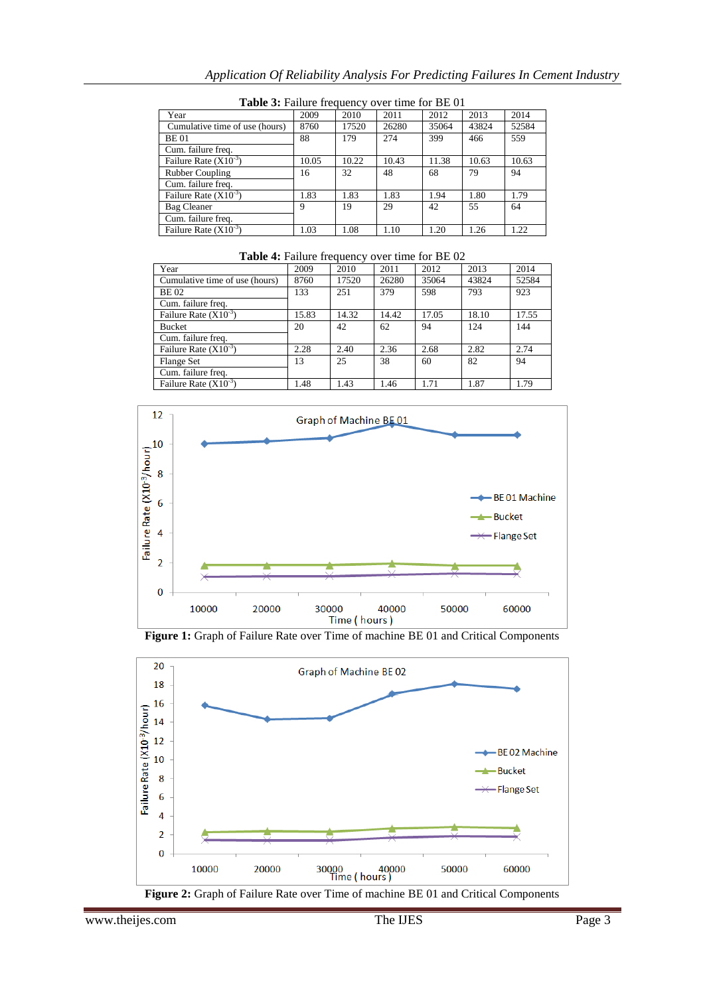| Year                           | 2009  | 2010  | 2011  | 2012  | 2013  | 2014  |  |  |
|--------------------------------|-------|-------|-------|-------|-------|-------|--|--|
| Cumulative time of use (hours) | 8760  | 17520 | 26280 | 35064 | 43824 | 52584 |  |  |
| <b>BE01</b>                    | 88    | 179   | 274   | 399   | 466   | 559   |  |  |
| Cum. failure freq.             |       |       |       |       |       |       |  |  |
| Failure Rate $(X10^{-3})$      | 10.05 | 10.22 | 10.43 | 11.38 | 10.63 | 10.63 |  |  |
| <b>Rubber Coupling</b>         | 16    | 32    | 48    | 68    | 79    | 94    |  |  |
| Cum. failure freq.             |       |       |       |       |       |       |  |  |
| Failure Rate $(X10^{-3})$      | 1.83  | 1.83  | 1.83  | 1.94  | 1.80  | 1.79  |  |  |
| <b>Bag Cleaner</b>             | 9     | 19    | 29    | 42    | 55    | 64    |  |  |
| Cum. failure freq.             |       |       |       |       |       |       |  |  |
| Failure Rate $(X10^{-3})$      | 1.03  | 1.08  | 1.10  | 1.20  | 1.26  | 1.22  |  |  |

|  | Table 3: Failure frequency over time for BE 01 |  |  |
|--|------------------------------------------------|--|--|
|--|------------------------------------------------|--|--|

| <b>THERE</b> TO LATE THE HUGHER (THE THIS TOT DE $0E$ |       |       |       |       |       |       |  |  |
|-------------------------------------------------------|-------|-------|-------|-------|-------|-------|--|--|
| Year                                                  | 2009  | 2010  | 2011  | 2012  | 2013  | 2014  |  |  |
| Cumulative time of use (hours)                        | 8760  | 17520 | 26280 | 35064 | 43824 | 52584 |  |  |
| <b>BE02</b>                                           | 133   | 251   | 379   | 598   | 793   | 923   |  |  |
| Cum. failure freq.                                    |       |       |       |       |       |       |  |  |
| Failure Rate $(X10^{-3})$                             | 15.83 | 14.32 | 14.42 | 17.05 | 18.10 | 17.55 |  |  |
| Bucket                                                | 20    | 42    | 62    | 94    | 124   | 144   |  |  |
| Cum. failure freq.                                    |       |       |       |       |       |       |  |  |
| Failure Rate $(X10^{-3})$                             | 2.28  | 2.40  | 2.36  | 2.68  | 2.82  | 2.74  |  |  |
| Flange Set                                            | 13    | 25    | 38    | 60    | 82    | 94    |  |  |
| Cum. failure freq.                                    |       |       |       |       |       |       |  |  |
| Failure Rate $(X10^{-3})$                             | 1.48  | 1.43  | 1.46  | 1.71  | 1.87  | 1.79  |  |  |

**Table 4:** Failure frequency over time for BE 02





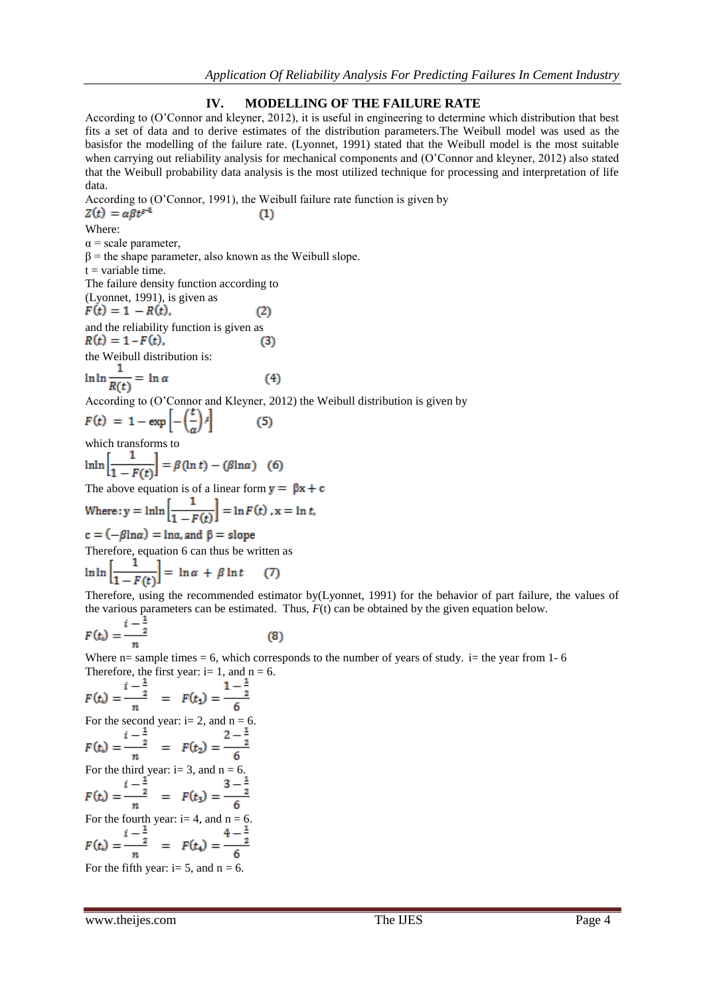## **IV. MODELLING OF THE FAILURE RATE**

According to (O'Connor and kleyner, 2012), it is useful in engineering to determine which distribution that best fits a set of data and to derive estimates of the distribution parameters.The Weibull model was used as the basisfor the modelling of the failure rate. (Lyonnet, 1991) stated that the Weibull model is the most suitable when carrying out reliability analysis for mechanical components and (O'Connor and kleyner, 2012) also stated that the Weibull probability data analysis is the most utilized technique for processing and interpretation of life data.

According to (O'Connor, 1991), the Weibull failure rate function is given by  $Z(t) = \alpha \beta t^{\beta-1}$  $(1)$ Where:  $\alpha$  = scale parameter,  $β =$  the shape parameter, also known as the Weibull slope.  $t =$  variable time. The failure density function according to (Lyonnet, 1991), is given as  $F(t) = 1 - R(t)$ ,  $(2)$ and the reliability function is given as  $R(t) = 1 - F(t)$ ,  $(3)$ the Weibull distribution is:<br>  $\ln \ln \frac{1}{R(t)} = \ln \alpha$  $(4)$ According to (O'Connor and Kleyner, 2012) the Weibull distribution is given by  $F(t) = 1 - \exp \left[-\left(\frac{t}{a}\right)t\right]$  $(5)$ which transforms to<br>  $\ln \ln \left[ \frac{1}{1 - F(t)} \right] = \beta (\ln t) - (\beta \ln \alpha)$  (6) The above equation is of a linear form  $y = \beta x + c$ <br>Where:  $y = \ln \ln \left[ \frac{1}{1 - F(t)} \right] = \ln F(t)$ ,  $x = \ln t$ ,  $c = (-\beta \ln \alpha) = \ln \alpha$ , and  $\beta =$  slope Therefore, equation 6 can thus be written as<br>  $\ln \ln \left[\frac{1}{1 - F(t)}\right] = \ln \alpha + \beta \ln t$  (7)  $(7)$ Therefore, using the recommended estimator by(Lyonnet, 1991) for the behavior of part failure, the values of the various parameters can be estimated. Thus, *F*(t) can be obtained by the given equation below.  $i - \frac{2}{3}$  $\overline{\mathbf{z}}$  $F(t_i) = ^{(8)}$ Where n= sample times = 6, which corresponds to the number of years of study. i= the year from 1- 6 Therefore, the first year:  $i=1$ , and  $n=6$ .

$$
F(t_i) = \frac{i - \frac{1}{2}}{n} = F(t_1) = \frac{1 - \frac{1}{2}}{6}
$$
  
For the second year: i= 2, and n = 6.  

$$
F(t_i) = \frac{i - \frac{1}{2}}{n} = F(t_2) = \frac{2 - \frac{1}{2}}{6}
$$
  
For the third year: i= 3, and n = 6.  

$$
F(t_i) = \frac{i - \frac{1}{2}}{n} = F(t_3) = \frac{3 - \frac{1}{2}}{6}
$$
  
For the fourth year: i= 4, and n = 6.  
For the fourth year: i= 4, and n = 6.  

$$
F(t_i) = \frac{i - \frac{1}{2}}{n} = F(t_4) = \frac{4 - \frac{1}{2}}{6}
$$

For the fifth year:  $i=5$ , and  $n=6$ .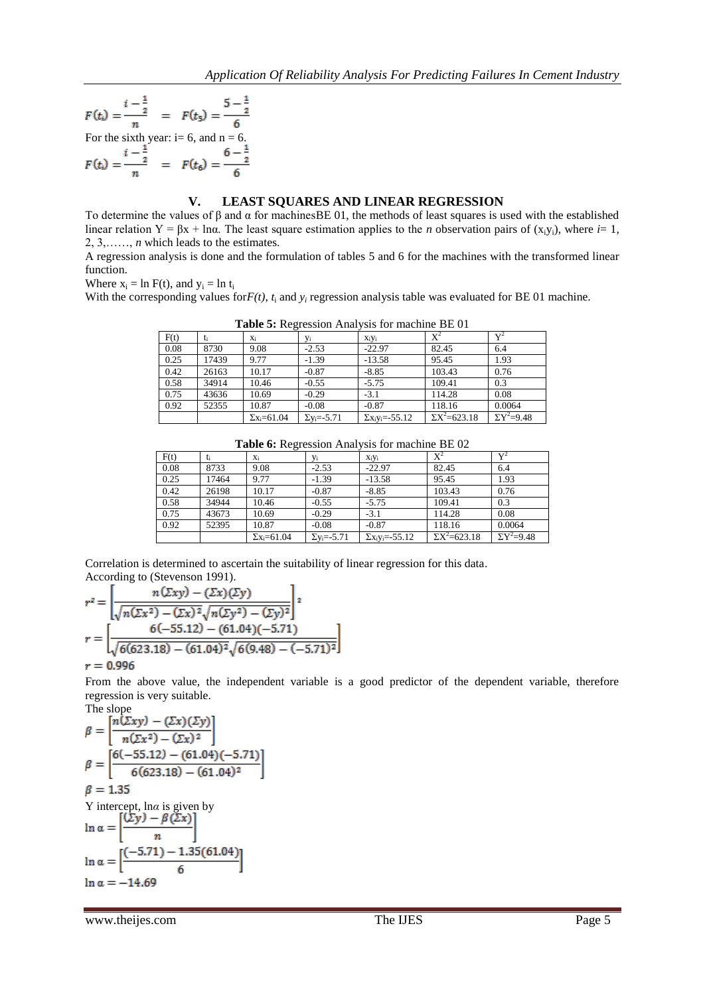$F(t_i) = \frac{i - \frac{1}{2}}{n} = F(t_5) = \frac{5 - \frac{1}{2}}{6}$ For the sixth year: i= 6, and n = 6.<br>  $F(t_i) = \frac{i - \frac{1}{2}}{n} = F(t_6) = \frac{6 - \frac{1}{2}}{6}$ 

# **V. LEAST SQUARES AND LINEAR REGRESSION**

To determine the values of  $\beta$  and  $\alpha$  for machines BE 01, the methods of least squares is used with the established linear relation  $Y = \beta x + \ln \alpha$ . The least square estimation applies to the *n* observation pairs of  $(x_iy_i)$ , where *i*= 1, 2, 3,……, *n* which leads to the estimates.

A regression analysis is done and the formulation of tables 5 and 6 for the machines with the transformed linear function.

Where  $x_i = \ln F(t)$ , and  $y_i = \ln t_i$ 

With the corresponding values for  $F(t)$ ,  $t_1$  and  $y_i$  regression analysis table was evaluated for BE 01 machine.

| F(t) |       | Xi                             | Уi                             | $x_iy_i$                                       | $\mathrm{X}^2$        | $\mathbf{V}^2$                |
|------|-------|--------------------------------|--------------------------------|------------------------------------------------|-----------------------|-------------------------------|
| 0.08 | 8730  | 9.08                           | $-2.53$                        | $-22.97$                                       | 82.45                 | 6.4                           |
| 0.25 | 17439 | 9.77                           | $-1.39$                        | $-13.58$                                       | 95.45                 | 1.93                          |
| 0.42 | 26163 | 10.17                          | $-0.87$                        | $-8.85$                                        | 103.43                | 0.76                          |
| 0.58 | 34914 | 10.46                          | $-0.55$                        | $-5.75$                                        | 109.41                | 0.3                           |
| 0.75 | 43636 | 10.69                          | $-0.29$                        | $-3.1$                                         | 114.28                | 0.08                          |
| 0.92 | 52355 | 10.87                          | $-0.08$                        | $-0.87$                                        | 118.16                | 0.0064                        |
|      |       | $\Sigma$ x <sub>i</sub> =61.04 | $\Sigma$ y <sub>i</sub> =-5.71 | $\Sigma$ x <sub>i</sub> y <sub>i</sub> =-55.12 | $\Sigma X^2 = 623.18$ | $\Sigma$ Y <sup>2</sup> =9.48 |

**Table 5:** Regression Analysis for machine BE 01

|  |  |  | Table 6: Regression Analysis for machine BE 02 |  |
|--|--|--|------------------------------------------------|--|
|--|--|--|------------------------------------------------|--|

| F(t) | ti    | $X_i$                          | Уi                            | $x_iy_i$                  | $\mathrm{X}^2$        | $V^2$                         |
|------|-------|--------------------------------|-------------------------------|---------------------------|-----------------------|-------------------------------|
| 0.08 | 8733  | 9.08                           | $-2.53$                       | $-22.97$                  | 82.45                 | 6.4                           |
| 0.25 | 17464 | 9.77                           | $-1.39$                       | $-13.58$                  | 95.45                 | 1.93                          |
| 0.42 | 26198 | 10.17                          | $-0.87$                       | $-8.85$                   | 103.43                | 0.76                          |
| 0.58 | 34944 | 10.46                          | $-0.55$                       | $-5.75$                   | 109.41                | 0.3                           |
| 0.75 | 43673 | 10.69                          | $-0.29$                       | $-3.1$                    | 114.28                | 0.08                          |
| 0.92 | 52395 | 10.87                          | $-0.08$                       | $-0.87$                   | 118.16                | 0.0064                        |
|      |       | $\Sigma$ x <sub>i</sub> =61.04 | $\Sigma$ <sub>Vi</sub> =-5.71 | $\Sigma x_i y_i = -55.12$ | $\Sigma X^2 = 623.18$ | $\Sigma$ Y <sup>2</sup> =9.48 |

Correlation is determined to ascertain the suitability of linear regression for this data. According to (Stevenson 1991).

$$
r^{2} = \left[\frac{n(\Sigma xy) - (\Sigma x)(\Sigma y)}{\sqrt{n(\Sigma x^{2}) - (\Sigma x)^{2}}\sqrt{n(\Sigma y^{2}) - (\Sigma y)^{2}}}\right]^{2}
$$

$$
r = \left[\frac{6(-55.12) - (61.04)(-5.71)}{\sqrt{6(623.18) - (61.04)^{2}}\sqrt{6(9.48) - (-5.71)^{2}}}\right]
$$

$$
r = 0.996
$$

From the above value, the independent variable is a good predictor of the dependent variable, therefore regression is very suitable.

The slope  
\n
$$
\beta = \left[ \frac{n(\Sigma xy) - (\Sigma x)(\Sigma y)}{n(\Sigma x^2) - (\Sigma x)^2} \right]
$$
\n
$$
\beta = \left[ \frac{6(-55.12) - (61.04)(-5.71)}{6(623.18) - (61.04)^2} \right]
$$
\n
$$
\beta = 1.35
$$
\nY intercept, Inα is given by  
\n
$$
\ln \alpha = \left[ \frac{(\Sigma y) - \beta(\Sigma x)}{n} \right]
$$
\n
$$
\ln \alpha = \left[ \frac{(-5.71) - 1.35(61.04)}{6} \right]
$$
\n
$$
\ln \alpha = -14.69
$$

www.theijes.com The IJES Page 5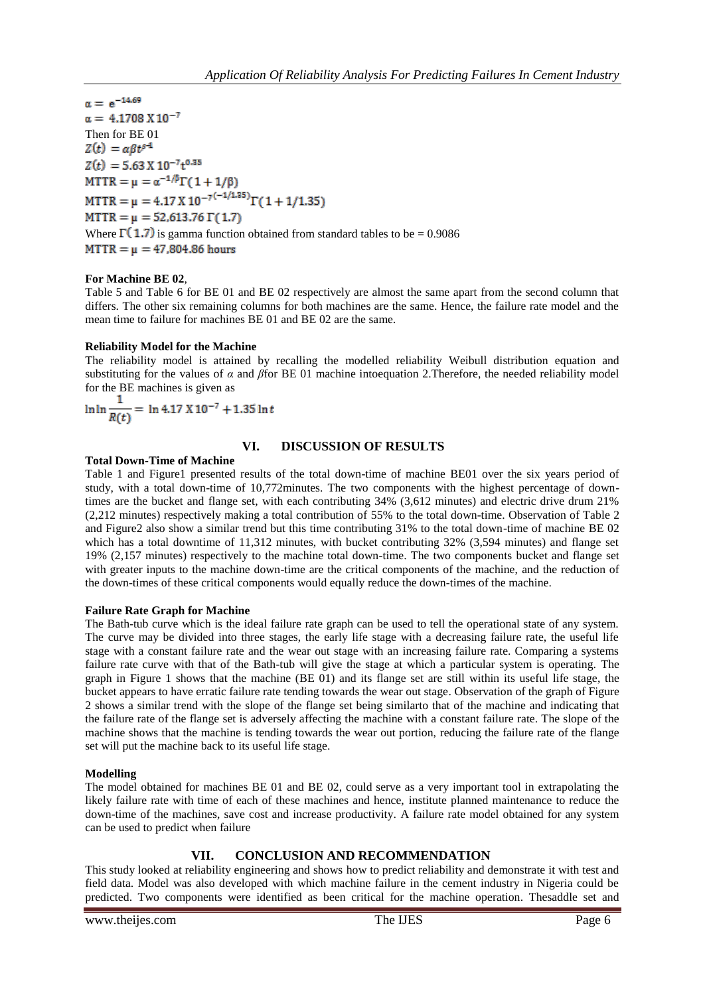$\alpha = \, e^{-14.69}$  $\alpha = 4.1708 \text{ X} 10^{-7}$ Then for BE 01<br> $Z(t) = \alpha \beta t^{\beta - 1}$  $Z(t) = 5.63 \text{ X} 10^{-7} t^{0.35}$ MTTR = μ =  $α^{-1/β}Γ(1 + 1/β)$ MTTR =  $\mu$  = 4.17 X 10<sup>-7(-1/1.35)</sup>  $\Gamma$ (1+1/1.35)  $MTTR = \mu = 52,613.76 \Gamma(1.7)$ Where  $\Gamma(1.7)$  is gamma function obtained from standard tables to be = 0.9086  $MTTR = \mu = 47,804.86$  hours

## **For Machine BE 02**,

Table 5 and Table 6 for BE 01 and BE 02 respectively are almost the same apart from the second column that differs. The other six remaining columns for both machines are the same. Hence, the failure rate model and the mean time to failure for machines BE 01 and BE 02 are the same.

## **Reliability Model for the Machine**

The reliability model is attained by recalling the modelled reliability Weibull distribution equation and substituting for the values of *α* and *β*for BE 01 machine intoequation 2.Therefore, the needed reliability model

for the BE machines is given as<br>  $\ln \ln \frac{1}{R(t)} = \ln 4.17 \text{ X } 10^{-7} + 1.35 \ln t$ 

## **VI. DISCUSSION OF RESULTS**

## **Total Down-Time of Machine**

Table 1 and Figure1 presented results of the total down-time of machine BE01 over the six years period of study, with a total down-time of 10,772minutes. The two components with the highest percentage of downtimes are the bucket and flange set, with each contributing 34% (3,612 minutes) and electric drive drum 21% (2,212 minutes) respectively making a total contribution of 55% to the total down-time. Observation of Table 2 and Figure2 also show a similar trend but this time contributing 31% to the total down-time of machine BE 02 which has a total downtime of 11,312 minutes, with bucket contributing 32% (3,594 minutes) and flange set 19% (2,157 minutes) respectively to the machine total down-time. The two components bucket and flange set with greater inputs to the machine down-time are the critical components of the machine, and the reduction of the down-times of these critical components would equally reduce the down-times of the machine.

## **Failure Rate Graph for Machine**

The Bath-tub curve which is the ideal failure rate graph can be used to tell the operational state of any system. The curve may be divided into three stages, the early life stage with a decreasing failure rate, the useful life stage with a constant failure rate and the wear out stage with an increasing failure rate. Comparing a systems failure rate curve with that of the Bath-tub will give the stage at which a particular system is operating. The graph in Figure 1 shows that the machine (BE 01) and its flange set are still within its useful life stage, the bucket appears to have erratic failure rate tending towards the wear out stage. Observation of the graph of Figure 2 shows a similar trend with the slope of the flange set being similarto that of the machine and indicating that the failure rate of the flange set is adversely affecting the machine with a constant failure rate. The slope of the machine shows that the machine is tending towards the wear out portion, reducing the failure rate of the flange set will put the machine back to its useful life stage.

## **Modelling**

The model obtained for machines BE 01 and BE 02, could serve as a very important tool in extrapolating the likely failure rate with time of each of these machines and hence, institute planned maintenance to reduce the down-time of the machines, save cost and increase productivity. A failure rate model obtained for any system can be used to predict when failure

## **VII. CONCLUSION AND RECOMMENDATION**

This study looked at reliability engineering and shows how to predict reliability and demonstrate it with test and field data. Model was also developed with which machine failure in the cement industry in Nigeria could be predicted. Two components were identified as been critical for the machine operation. Thesaddle set and